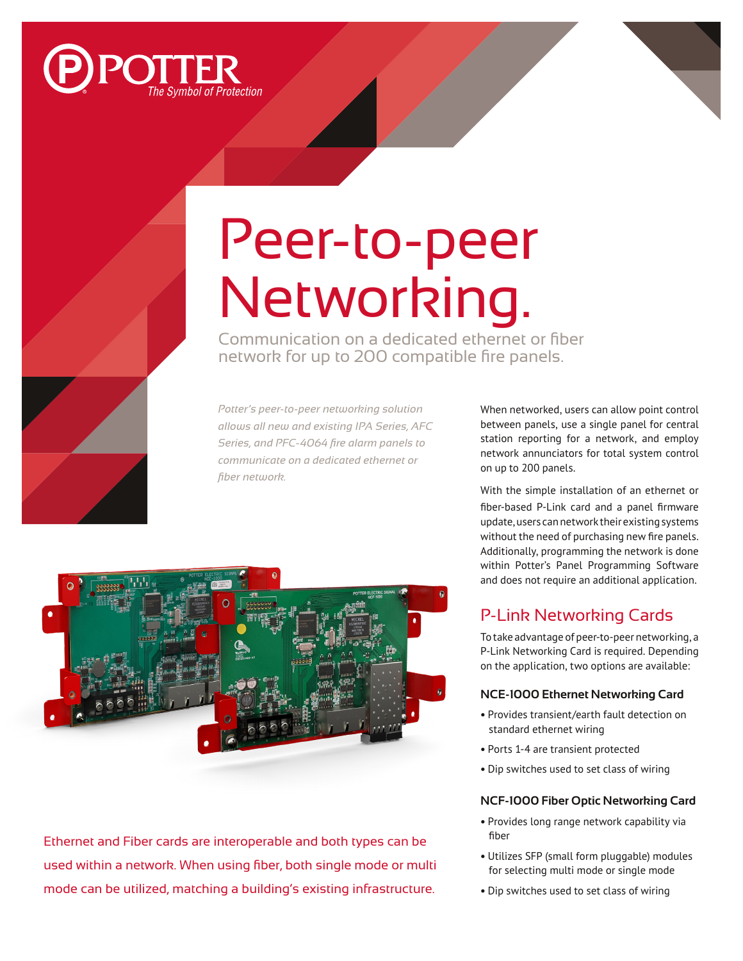

# Peer-to-peer Networking.

Communication on a dedicated ethernet or fiber network for up to 200 compatible fire panels.

*Potter's peer-to-peer networking solution allows all new and existing IPA Series, AFC Series, and PFC-4064 fire alarm panels to communicate on a dedicated ethernet or fiber network.* 



Ethernet and Fiber cards are interoperable and both types can be used within a network. When using fiber, both single mode or multi mode can be utilized, matching a building's existing infrastructure.

When networked, users can allow point control between panels, use a single panel for central station reporting for a network, and employ network annunciators for total system control on up to 200 panels.

With the simple installation of an ethernet or fiber-based P-Link card and a panel firmware update, users can network their existing systems without the need of purchasing new fire panels. Additionally, programming the network is done within Potter's Panel Programming Software and does not require an additional application.

# P-Link Networking Cards

To take advantage of peer-to-peer networking, a P-Link Networking Card is required. Depending on the application, two options are available:

### **NCE-1000 Ethernet Networking Card**

- Provides transient/earth fault detection on standard ethernet wiring
- Ports 1-4 are transient protected
- Dip switches used to set class of wiring

#### **NCF-1000 Fiber Optic Networking Card**

- Provides long range network capability via fiber
- Utilizes SFP (small form pluggable) modules for selecting multi mode or single mode
- Dip switches used to set class of wiring